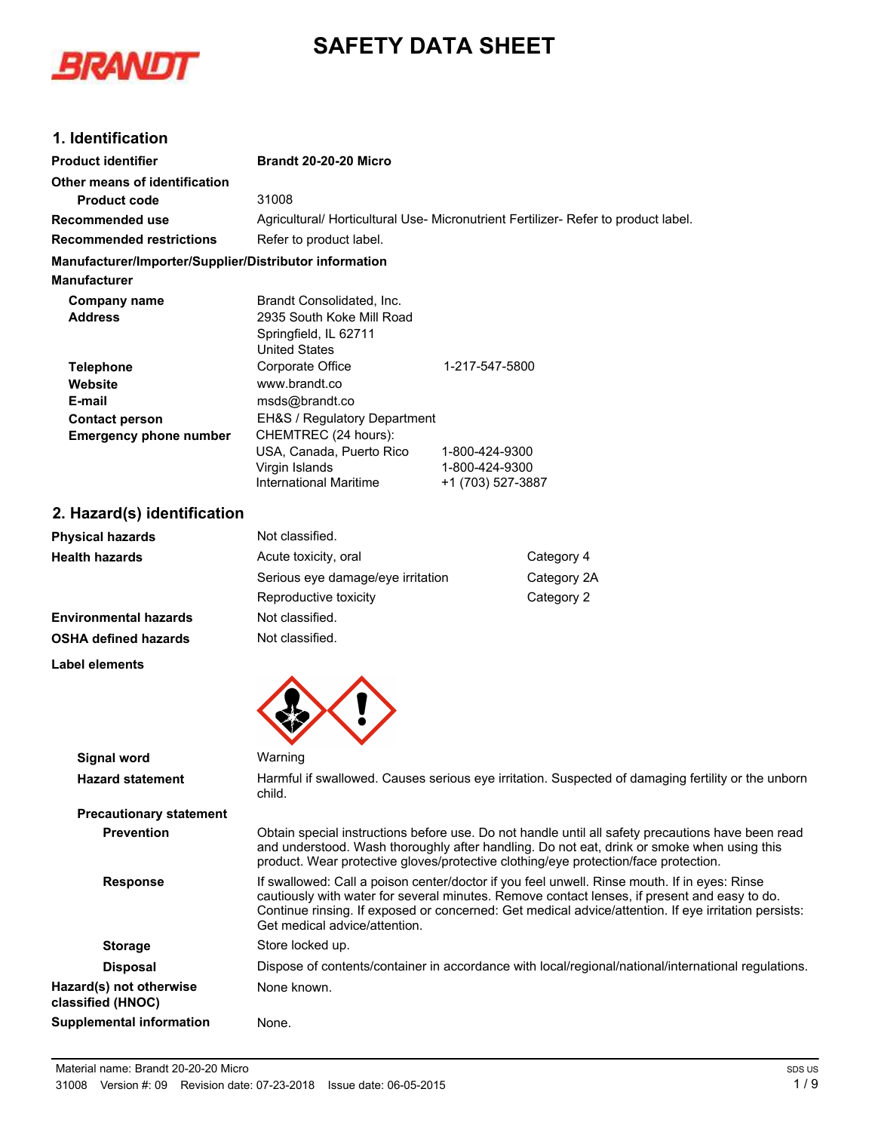



## **1. Identification**

| <b>Product identifier</b>                              | Brandt 20-20-20 Micro                                                                                   |                                                       |                                                                                                                                                                                                                                                                                                      |
|--------------------------------------------------------|---------------------------------------------------------------------------------------------------------|-------------------------------------------------------|------------------------------------------------------------------------------------------------------------------------------------------------------------------------------------------------------------------------------------------------------------------------------------------------------|
| Other means of identification                          |                                                                                                         |                                                       |                                                                                                                                                                                                                                                                                                      |
| <b>Product code</b>                                    | 31008                                                                                                   |                                                       |                                                                                                                                                                                                                                                                                                      |
| Recommended use                                        | Agricultural/ Horticultural Use- Micronutrient Fertilizer- Refer to product label.                      |                                                       |                                                                                                                                                                                                                                                                                                      |
| <b>Recommended restrictions</b>                        | Refer to product label.                                                                                 |                                                       |                                                                                                                                                                                                                                                                                                      |
| Manufacturer/Importer/Supplier/Distributor information |                                                                                                         |                                                       |                                                                                                                                                                                                                                                                                                      |
| <b>Manufacturer</b>                                    |                                                                                                         |                                                       |                                                                                                                                                                                                                                                                                                      |
| <b>Company name</b><br><b>Address</b>                  | Brandt Consolidated, Inc.<br>2935 South Koke Mill Road<br>Springfield, IL 62711<br><b>United States</b> |                                                       |                                                                                                                                                                                                                                                                                                      |
| <b>Telephone</b>                                       | Corporate Office                                                                                        | 1-217-547-5800                                        |                                                                                                                                                                                                                                                                                                      |
| Website                                                | www.brandt.co                                                                                           |                                                       |                                                                                                                                                                                                                                                                                                      |
| E-mail                                                 | msds@brandt.co                                                                                          |                                                       |                                                                                                                                                                                                                                                                                                      |
| <b>Contact person</b><br><b>Emergency phone number</b> | EH&S / Regulatory Department<br>CHEMTREC (24 hours):                                                    |                                                       |                                                                                                                                                                                                                                                                                                      |
|                                                        | USA, Canada, Puerto Rico<br>Virgin Islands<br><b>International Maritime</b>                             | 1-800-424-9300<br>1-800-424-9300<br>+1 (703) 527-3887 |                                                                                                                                                                                                                                                                                                      |
| 2. Hazard(s) identification                            |                                                                                                         |                                                       |                                                                                                                                                                                                                                                                                                      |
| <b>Physical hazards</b>                                | Not classified.                                                                                         |                                                       |                                                                                                                                                                                                                                                                                                      |
| <b>Health hazards</b>                                  | Acute toxicity, oral                                                                                    |                                                       | Category 4                                                                                                                                                                                                                                                                                           |
|                                                        | Serious eye damage/eye irritation                                                                       |                                                       | Category 2A                                                                                                                                                                                                                                                                                          |
|                                                        | Reproductive toxicity                                                                                   |                                                       | Category 2                                                                                                                                                                                                                                                                                           |
| <b>Environmental hazards</b>                           | Not classified.                                                                                         |                                                       |                                                                                                                                                                                                                                                                                                      |
| <b>OSHA defined hazards</b>                            | Not classified.                                                                                         |                                                       |                                                                                                                                                                                                                                                                                                      |
| Label elements                                         |                                                                                                         |                                                       |                                                                                                                                                                                                                                                                                                      |
|                                                        |                                                                                                         |                                                       |                                                                                                                                                                                                                                                                                                      |
| <b>Signal word</b>                                     | Warning                                                                                                 |                                                       |                                                                                                                                                                                                                                                                                                      |
| <b>Hazard statement</b>                                | child.                                                                                                  |                                                       | Harmful if swallowed. Causes serious eye irritation. Suspected of damaging fertility or the unborn                                                                                                                                                                                                   |
| <b>Precautionary statement</b>                         |                                                                                                         |                                                       |                                                                                                                                                                                                                                                                                                      |
| <b>Prevention</b>                                      |                                                                                                         |                                                       | Obtain special instructions before use. Do not handle until all safety precautions have been read<br>and understood. Wash thoroughly after handling. Do not eat, drink or smoke when using this<br>product. Wear protective gloves/protective clothing/eye protection/face protection.               |
| <b>Response</b>                                        | Get medical advice/attention.                                                                           |                                                       | If swallowed: Call a poison center/doctor if you feel unwell. Rinse mouth. If in eyes: Rinse<br>cautiously with water for several minutes. Remove contact lenses, if present and easy to do.<br>Continue rinsing. If exposed or concerned: Get medical advice/attention. If eye irritation persists: |
| <b>Storage</b>                                         | Store locked up.                                                                                        |                                                       |                                                                                                                                                                                                                                                                                                      |
| <b>Disposal</b>                                        |                                                                                                         |                                                       | Dispose of contents/container in accordance with local/regional/national/international regulations.                                                                                                                                                                                                  |
| Hazard(s) not otherwise<br>classified (HNOC)           | None known.                                                                                             |                                                       |                                                                                                                                                                                                                                                                                                      |

**Supplemental information** None.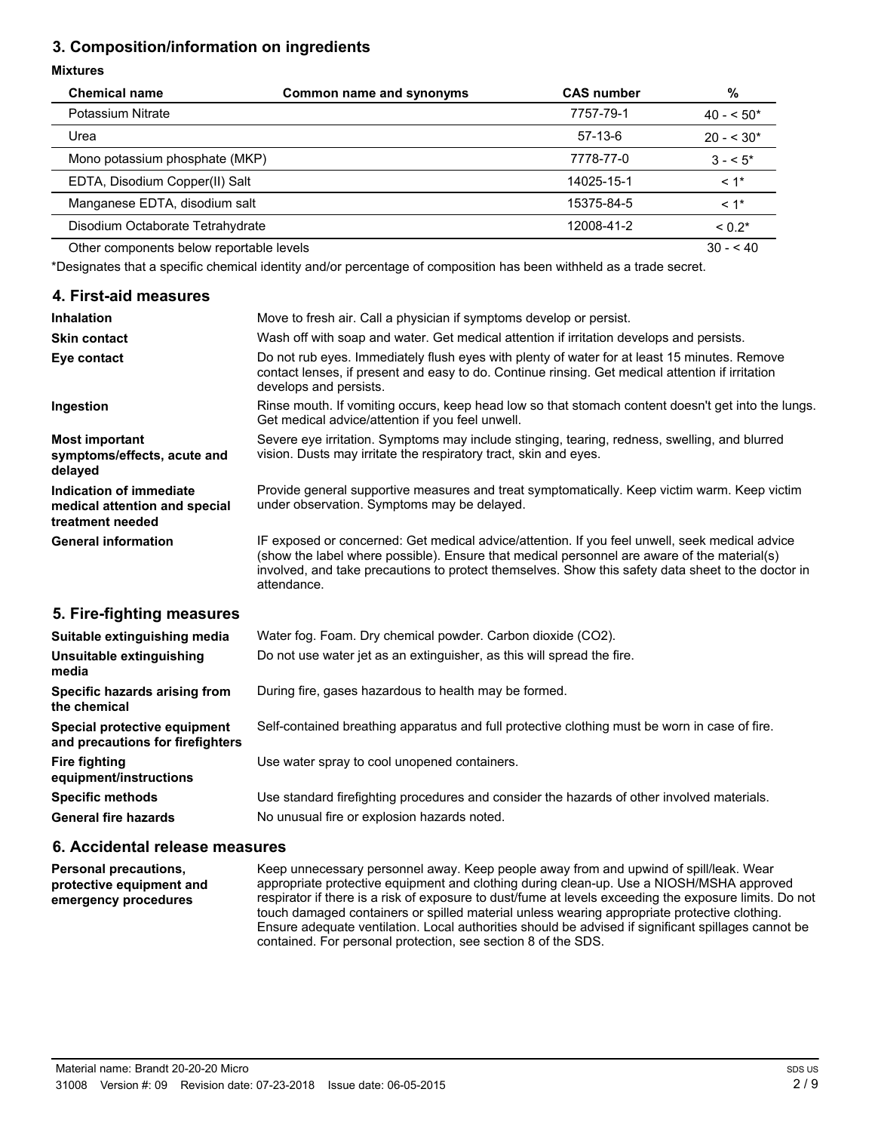# **3. Composition/information on ingredients**

#### **Mixtures**

| <b>Chemical name</b>                     | Common name and synonyms | <b>CAS number</b> | %           |
|------------------------------------------|--------------------------|-------------------|-------------|
| Potassium Nitrate                        |                          | 7757-79-1         | $40 - 50*$  |
| Urea                                     |                          | $57-13-6$         | $20 - 530*$ |
| Mono potassium phosphate (MKP)           |                          | 7778-77-0         | $3 - 5^*$   |
| EDTA, Disodium Copper(II) Salt           |                          | 14025-15-1        | $< 1$ *     |
| Manganese EDTA, disodium salt            |                          | 15375-84-5        | $< 1$ *     |
| Disodium Octaborate Tetrahydrate         |                          | 12008-41-2        | $< 0.2*$    |
| Other components below reportable levels |                          |                   | $30 - 540$  |

\*Designates that a specific chemical identity and/or percentage of composition has been withheld as a trade secret.

### **4. First-aid measures**

| <b>Inhalation</b>                                                            | Move to fresh air. Call a physician if symptoms develop or persist.                                                                                                                                                                                                                                                |
|------------------------------------------------------------------------------|--------------------------------------------------------------------------------------------------------------------------------------------------------------------------------------------------------------------------------------------------------------------------------------------------------------------|
| <b>Skin contact</b>                                                          | Wash off with soap and water. Get medical attention if irritation develops and persists.                                                                                                                                                                                                                           |
| Eye contact                                                                  | Do not rub eyes. Immediately flush eyes with plenty of water for at least 15 minutes. Remove<br>contact lenses, if present and easy to do. Continue rinsing. Get medical attention if irritation<br>develops and persists.                                                                                         |
| Ingestion                                                                    | Rinse mouth. If vomiting occurs, keep head low so that stomach content doesn't get into the lungs.<br>Get medical advice/attention if you feel unwell.                                                                                                                                                             |
| <b>Most important</b><br>symptoms/effects, acute and<br>delayed              | Severe eye irritation. Symptoms may include stinging, tearing, redness, swelling, and blurred<br>vision. Dusts may irritate the respiratory tract, skin and eyes.                                                                                                                                                  |
| Indication of immediate<br>medical attention and special<br>treatment needed | Provide general supportive measures and treat symptomatically. Keep victim warm. Keep victim<br>under observation. Symptoms may be delayed.                                                                                                                                                                        |
| <b>General information</b>                                                   | IF exposed or concerned: Get medical advice/attention. If you feel unwell, seek medical advice<br>(show the label where possible). Ensure that medical personnel are aware of the material(s)<br>involved, and take precautions to protect themselves. Show this safety data sheet to the doctor in<br>attendance. |
| 5. Fire-fighting measures                                                    |                                                                                                                                                                                                                                                                                                                    |
| Suitable extinguishing media                                                 | Water fog. Foam. Dry chemical powder. Carbon dioxide (CO2).                                                                                                                                                                                                                                                        |

| <b>Panapie extinguishing incuid</b>                              | <b>Tract Tog. Toans Dry chemical powder. Oarbon dioxide (OOZ).</b>                            |
|------------------------------------------------------------------|-----------------------------------------------------------------------------------------------|
| Unsuitable extinguishing<br>media                                | Do not use water jet as an extinguisher, as this will spread the fire.                        |
| Specific hazards arising from<br>the chemical                    | During fire, gases hazardous to health may be formed.                                         |
| Special protective equipment<br>and precautions for firefighters | Self-contained breathing apparatus and full protective clothing must be worn in case of fire. |
| Fire fighting<br>equipment/instructions                          | Use water spray to cool unopened containers.                                                  |
| <b>Specific methods</b>                                          | Use standard firefighting procedures and consider the hazards of other involved materials.    |
| <b>General fire hazards</b>                                      | No unusual fire or explosion hazards noted.                                                   |
|                                                                  |                                                                                               |

## **6. Accidental release measures**

Keep unnecessary personnel away. Keep people away from and upwind of spill/leak. Wear appropriate protective equipment and clothing during clean-up. Use a NIOSH/MSHA approved respirator if there is a risk of exposure to dust/fume at levels exceeding the exposure limits. Do not touch damaged containers or spilled material unless wearing appropriate protective clothing. Ensure adequate ventilation. Local authorities should be advised if significant spillages cannot be contained. For personal protection, see section 8 of the SDS. **Personal precautions, protective equipment and emergency procedures**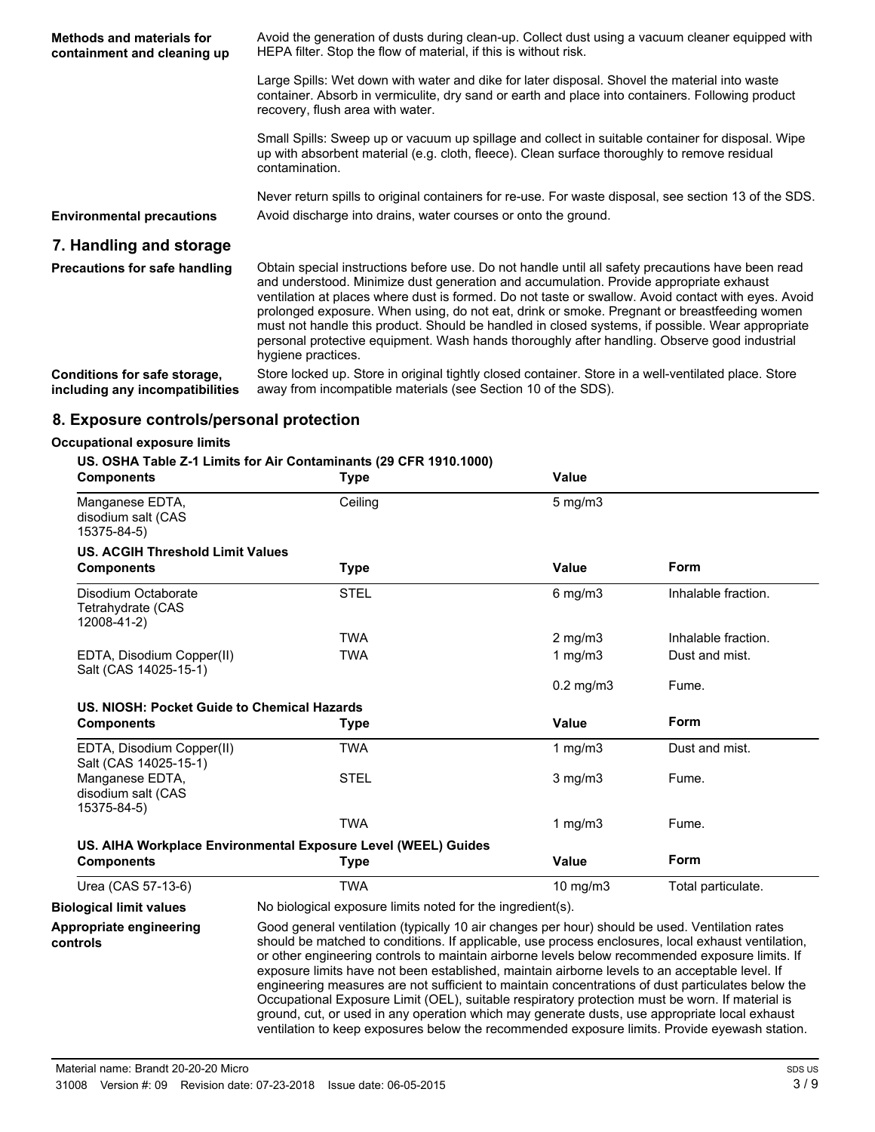| Methods and materials for<br>containment and cleaning up        | Avoid the generation of dusts during clean-up. Collect dust using a vacuum cleaner equipped with<br>HEPA filter. Stop the flow of material, if this is without risk.                                                                                                                                                                                                                                                                                                                                                                                                                                                        |
|-----------------------------------------------------------------|-----------------------------------------------------------------------------------------------------------------------------------------------------------------------------------------------------------------------------------------------------------------------------------------------------------------------------------------------------------------------------------------------------------------------------------------------------------------------------------------------------------------------------------------------------------------------------------------------------------------------------|
|                                                                 | Large Spills: Wet down with water and dike for later disposal. Shovel the material into waste<br>container. Absorb in vermiculite, dry sand or earth and place into containers. Following product<br>recovery, flush area with water.                                                                                                                                                                                                                                                                                                                                                                                       |
|                                                                 | Small Spills: Sweep up or vacuum up spillage and collect in suitable container for disposal. Wipe<br>up with absorbent material (e.g. cloth, fleece). Clean surface thoroughly to remove residual<br>contamination.                                                                                                                                                                                                                                                                                                                                                                                                         |
| <b>Environmental precautions</b>                                | Never return spills to original containers for re-use. For waste disposal, see section 13 of the SDS.<br>Avoid discharge into drains, water courses or onto the ground.                                                                                                                                                                                                                                                                                                                                                                                                                                                     |
| 7. Handling and storage                                         |                                                                                                                                                                                                                                                                                                                                                                                                                                                                                                                                                                                                                             |
| <b>Precautions for safe handling</b>                            | Obtain special instructions before use. Do not handle until all safety precautions have been read<br>and understood. Minimize dust generation and accumulation. Provide appropriate exhaust<br>ventilation at places where dust is formed. Do not taste or swallow. Avoid contact with eyes. Avoid<br>prolonged exposure. When using, do not eat, drink or smoke. Pregnant or breastfeeding women<br>must not handle this product. Should be handled in closed systems, if possible. Wear appropriate<br>personal protective equipment. Wash hands thoroughly after handling. Observe good industrial<br>hygiene practices. |
| Conditions for safe storage,<br>including any incompatibilities | Store locked up. Store in original tightly closed container. Store in a well-ventilated place. Store<br>away from incompatible materials (see Section 10 of the SDS).                                                                                                                                                                                                                                                                                                                                                                                                                                                       |

#### **8. Exposure controls/personal protection**

#### **Occupational exposure limits**

#### **US. OSHA Table Z-1 Limits for Air Contaminants (29 CFR 1910.1000)**

| <b>Components</b>                                       | Type                                                          | Value          |                     |
|---------------------------------------------------------|---------------------------------------------------------------|----------------|---------------------|
| Manganese EDTA,<br>disodium salt (CAS<br>15375-84-5)    | Ceiling                                                       | $5$ mg/m $3$   |                     |
| <b>US. ACGIH Threshold Limit Values</b>                 |                                                               |                |                     |
| <b>Components</b>                                       | Type                                                          | Value          | Form                |
| Disodium Octaborate<br>Tetrahydrate (CAS<br>12008-41-2) | <b>STEL</b>                                                   | $6$ mg/m $3$   | Inhalable fraction. |
|                                                         | <b>TWA</b>                                                    | $2$ mg/m $3$   | Inhalable fraction. |
| EDTA, Disodium Copper(II)<br>Salt (CAS 14025-15-1)      | TWA                                                           | 1 mg/m $3$     | Dust and mist.      |
|                                                         |                                                               | $0.2$ mg/m $3$ | Fume.               |
| US. NIOSH: Pocket Guide to Chemical Hazards             |                                                               |                |                     |
| <b>Components</b>                                       | <b>Type</b>                                                   | Value          | Form                |
| EDTA, Disodium Copper(II)<br>Salt (CAS 14025-15-1)      | <b>TWA</b>                                                    | 1 $mg/m3$      | Dust and mist.      |
| Manganese EDTA,<br>disodium salt (CAS<br>15375-84-5)    | <b>STEL</b>                                                   | $3$ mg/m $3$   | Fume.               |
|                                                         | <b>TWA</b>                                                    | 1 mg/m $3$     | Fume.               |
|                                                         | US. AIHA Workplace Environmental Exposure Level (WEEL) Guides |                |                     |
| <b>Components</b>                                       | <b>Type</b>                                                   | Value          | <b>Form</b>         |
| Urea (CAS 57-13-6)                                      | <b>TWA</b>                                                    | $10$ mg/m $3$  | Total particulate.  |
| <b>Biological limit values</b>                          | No biological exposure limits noted for the ingredient(s).    |                |                     |

Good general ventilation (typically 10 air changes per hour) should be used. Ventilation rates should be matched to conditions. If applicable, use process enclosures, local exhaust ventilation, or other engineering controls to maintain airborne levels below recommended exposure limits. If exposure limits have not been established, maintain airborne levels to an acceptable level. If engineering measures are not sufficient to maintain concentrations of dust particulates below the Occupational Exposure Limit (OEL), suitable respiratory protection must be worn. If material is ground, cut, or used in any operation which may generate dusts, use appropriate local exhaust ventilation to keep exposures below the recommended exposure limits. Provide eyewash station. **Appropriate engineering controls**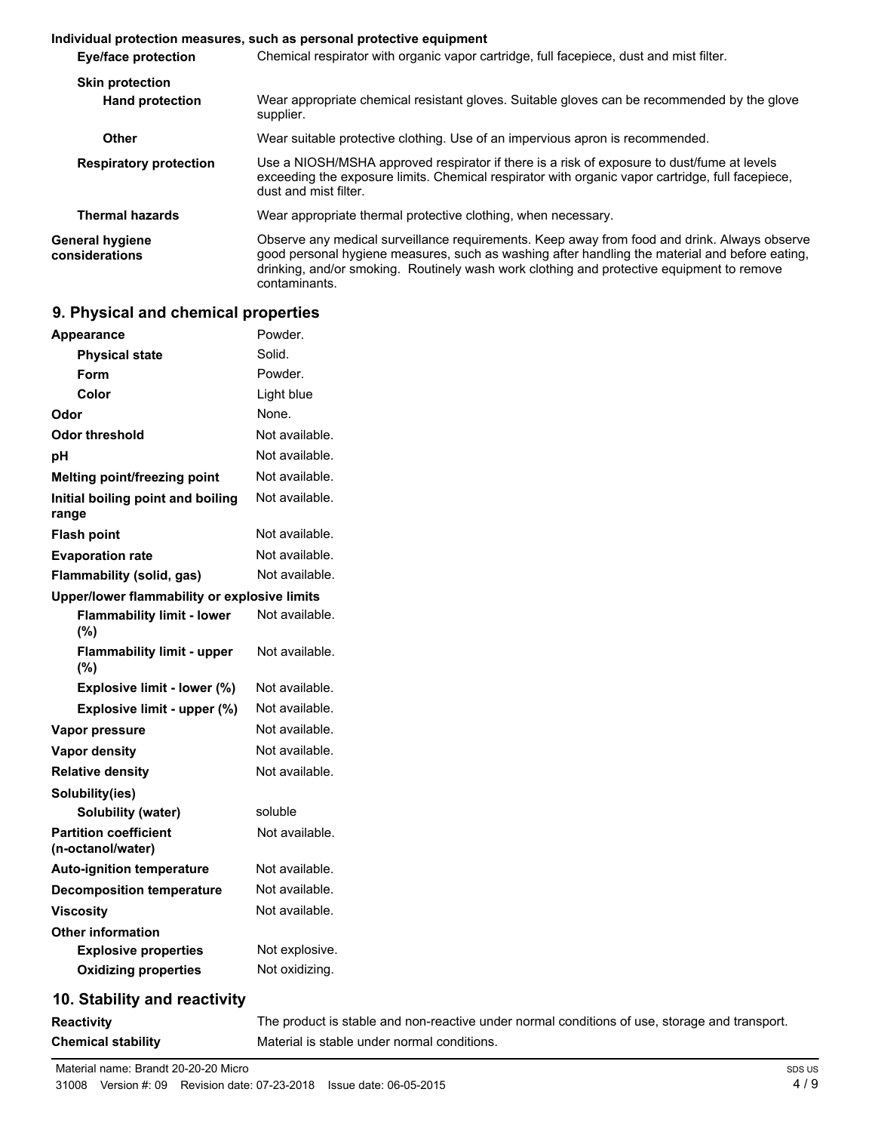#### **Individual protection measures, such as personal protective equipment Eye/face protection** Chemical respirator with organic vapor cartridge, full facepiece, dust and mist filter. **Skin protection** Wear appropriate chemical resistant gloves. Suitable gloves can be recommended by the glove supplier. **Hand protection Other** Wear suitable protective clothing. Use of an impervious apron is recommended. Use a NIOSH/MSHA approved respirator if there is a risk of exposure to dust/fume at levels exceeding the exposure limits. Chemical respirator with organic vapor cartridge, full facepiece, dust and mist filter. **Respiratory protection Thermal hazards** Wear appropriate thermal protective clothing, when necessary. Observe any medical surveillance requirements. Keep away from food and drink. Always observe good personal hygiene measures, such as washing after handling the material and before eating, drinking, and/or smoking. Routinely wash work clothing and protective equipment to remove contaminants. **General hygiene considerations**

### **9. Physical and chemical properties**

| Appearance                                        | Powder.        |
|---------------------------------------------------|----------------|
| Physical state                                    | Solid.         |
| Form                                              | Powder.        |
| Color                                             | Light blue     |
| Odor                                              | None.          |
| Odor threshold                                    | Not available. |
| рH                                                | Not available. |
| Melting point/freezing point                      | Not available. |
| Initial boiling point and boiling<br>range        | Not available. |
| <b>Flash point</b>                                | Not available. |
| <b>Evaporation rate</b>                           | Not available. |
| <b>Flammability (solid, gas)</b>                  | Not available. |
| Upper/lower flammability or explosive limits      |                |
| <b>Flammability limit - lower</b><br>(%)          | Not available. |
| <b>Flammability limit - upper</b><br>(%)          | Not available. |
| Explosive limit - lower (%)                       | Not available. |
| Explosive limit - upper (%)                       | Not available. |
| Vapor pressure                                    | Not available. |
| <b>Vapor density</b>                              | Not available. |
| <b>Relative density</b>                           | Not available. |
| Solubility(ies)                                   |                |
| Solubility (water)                                | soluble        |
| <b>Partition coefficient</b><br>(n-octanol/water) | Not available. |
| <b>Auto-ignition temperature</b>                  | Not available. |
| <b>Decomposition temperature</b>                  | Not available. |
| <b>Viscosity</b>                                  | Not available. |
| <b>Other information</b>                          |                |
| <b>Explosive properties</b>                       | Not explosive. |
| <b>Oxidizing properties</b>                       | Not oxidizing. |
|                                                   |                |

## **10. Stability and reactivity**

**Reactivity** The product is stable and non-reactive under normal conditions of use, storage and transport. **Chemical stability** Material is stable under normal conditions.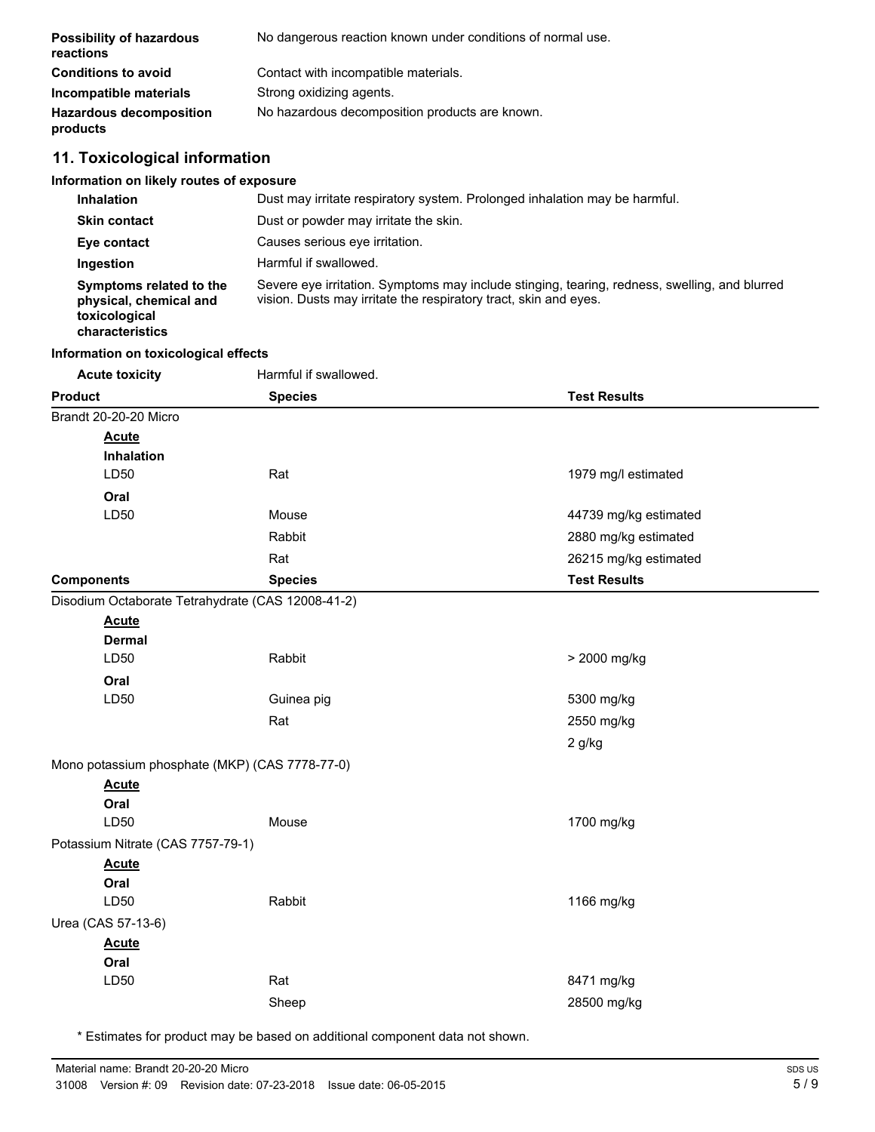| <b>Possibility of hazardous</b><br>reactions | No dangerous reaction known under conditions of normal use. |
|----------------------------------------------|-------------------------------------------------------------|
| <b>Conditions to avoid</b>                   | Contact with incompatible materials.                        |
| Incompatible materials                       | Strong oxidizing agents.                                    |
| <b>Hazardous decomposition</b><br>products   | No hazardous decomposition products are known.              |

# **11. Toxicological information**

## **Information on likely routes of exposure**

| <b>Inhalation</b>                                                                     | Dust may irritate respiratory system. Prolonged inhalation may be harmful.                                                                                        |
|---------------------------------------------------------------------------------------|-------------------------------------------------------------------------------------------------------------------------------------------------------------------|
| <b>Skin contact</b>                                                                   | Dust or powder may irritate the skin.                                                                                                                             |
| Eye contact                                                                           | Causes serious eve irritation.                                                                                                                                    |
| Ingestion                                                                             | Harmful if swallowed.                                                                                                                                             |
| Symptoms related to the<br>physical, chemical and<br>toxicological<br>characteristics | Severe eye irritation. Symptoms may include stinging, tearing, redness, swelling, and blurred<br>vision. Dusts may irritate the respiratory tract, skin and eyes. |

### **Information on toxicological effects**

| <b>Acute toxicity</b>                             | Harmful if swallowed. |                       |
|---------------------------------------------------|-----------------------|-----------------------|
| <b>Product</b>                                    | <b>Species</b>        | <b>Test Results</b>   |
| Brandt 20-20-20 Micro                             |                       |                       |
| <b>Acute</b>                                      |                       |                       |
| Inhalation                                        |                       |                       |
| LD50                                              | Rat                   | 1979 mg/l estimated   |
| Oral                                              |                       |                       |
| LD50                                              | Mouse                 | 44739 mg/kg estimated |
|                                                   | Rabbit                | 2880 mg/kg estimated  |
|                                                   | Rat                   | 26215 mg/kg estimated |
| <b>Components</b>                                 | <b>Species</b>        | <b>Test Results</b>   |
| Disodium Octaborate Tetrahydrate (CAS 12008-41-2) |                       |                       |
| <b>Acute</b>                                      |                       |                       |
| <b>Dermal</b>                                     |                       |                       |
| LD50                                              | Rabbit                | > 2000 mg/kg          |
| Oral                                              |                       |                       |
| LD50                                              | Guinea pig            | 5300 mg/kg            |
|                                                   | Rat                   | 2550 mg/kg            |
|                                                   |                       | $2$ g/kg              |
| Mono potassium phosphate (MKP) (CAS 7778-77-0)    |                       |                       |
| <b>Acute</b>                                      |                       |                       |
| Oral                                              |                       |                       |
| LD50                                              | Mouse                 | 1700 mg/kg            |
| Potassium Nitrate (CAS 7757-79-1)                 |                       |                       |
| <b>Acute</b>                                      |                       |                       |
| Oral                                              |                       |                       |
| LD50                                              | Rabbit                | 1166 mg/kg            |
| Urea (CAS 57-13-6)                                |                       |                       |
| <b>Acute</b>                                      |                       |                       |
| Oral                                              |                       |                       |
| LD50                                              | Rat                   | 8471 mg/kg            |
|                                                   | Sheep                 | 28500 mg/kg           |
|                                                   |                       |                       |

\* Estimates for product may be based on additional component data not shown.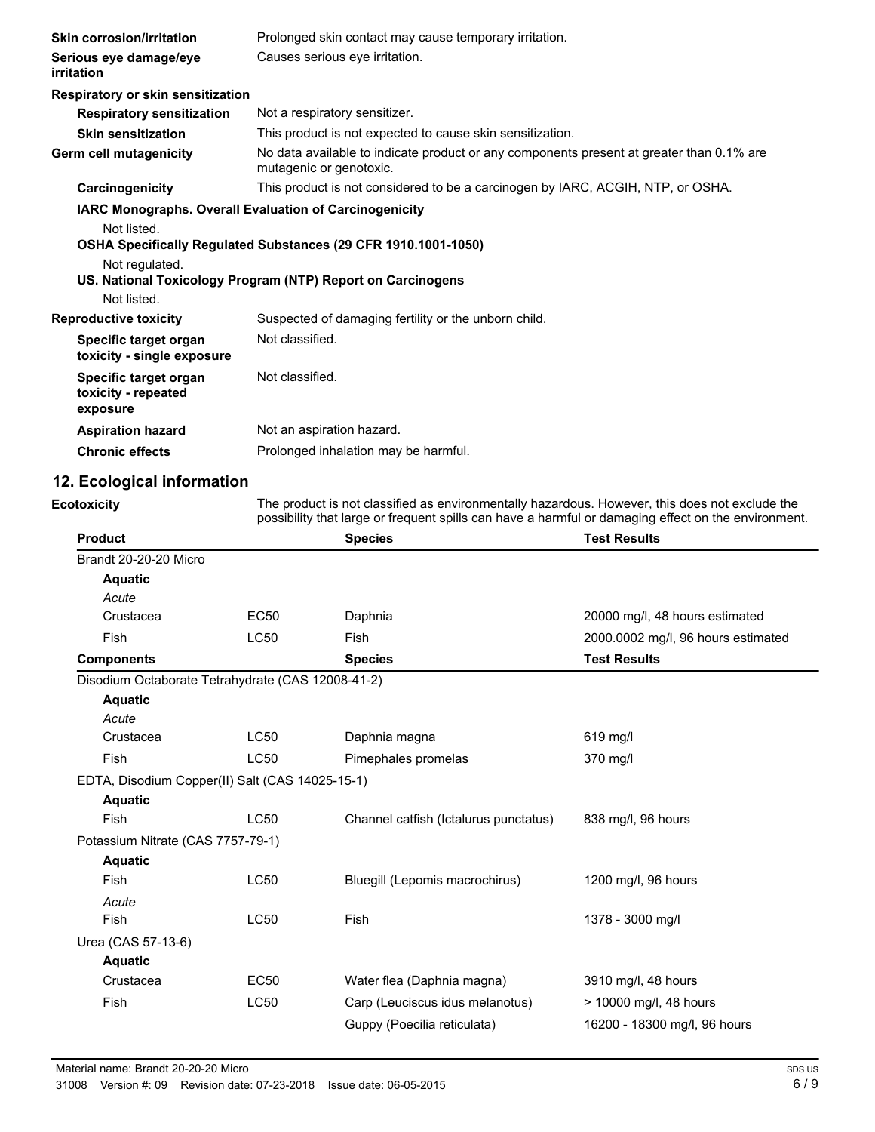| <b>Skin corrosion/irritation</b>                         | Prolonged skin contact may cause temporary irritation.                                                              |
|----------------------------------------------------------|---------------------------------------------------------------------------------------------------------------------|
| Serious eye damage/eye<br>irritation                     | Causes serious eye irritation.                                                                                      |
| Respiratory or skin sensitization                        |                                                                                                                     |
| <b>Respiratory sensitization</b>                         | Not a respiratory sensitizer.                                                                                       |
| <b>Skin sensitization</b>                                | This product is not expected to cause skin sensitization.                                                           |
| Germ cell mutagenicity                                   | No data available to indicate product or any components present at greater than 0.1% are<br>mutagenic or genotoxic. |
| Carcinogenicity                                          | This product is not considered to be a carcinogen by IARC, ACGIH, NTP, or OSHA.                                     |
|                                                          | <b>IARC Monographs. Overall Evaluation of Carcinogenicity</b>                                                       |
| Not listed.                                              | OSHA Specifically Regulated Substances (29 CFR 1910.1001-1050)                                                      |
| Not regulated.                                           |                                                                                                                     |
|                                                          | US. National Toxicology Program (NTP) Report on Carcinogens                                                         |
| Not listed.                                              |                                                                                                                     |
| <b>Reproductive toxicity</b>                             | Suspected of damaging fertility or the unborn child.                                                                |
| Specific target organ<br>toxicity - single exposure      | Not classified.                                                                                                     |
| Specific target organ<br>toxicity - repeated<br>exposure | Not classified.                                                                                                     |
| <b>Aspiration hazard</b>                                 | Not an aspiration hazard.                                                                                           |
| <b>Chronic effects</b>                                   | Prolonged inhalation may be harmful.                                                                                |
|                                                          |                                                                                                                     |

# **12. Ecological information**

**Ecotoxicity**

The product is not classified as environmentally hazardous. However, this does not exclude the possibility that large or frequent spills can have a harmful or damaging effect on the environment.

| <b>Product</b>                                    |             | <b>Species</b>                        | <b>Test Results</b>                |
|---------------------------------------------------|-------------|---------------------------------------|------------------------------------|
| Brandt 20-20-20 Micro                             |             |                                       |                                    |
| <b>Aquatic</b>                                    |             |                                       |                                    |
| Acute                                             |             |                                       |                                    |
| Crustacea                                         | <b>EC50</b> | Daphnia                               | 20000 mg/l, 48 hours estimated     |
| Fish                                              | <b>LC50</b> | <b>Fish</b>                           | 2000.0002 mg/l, 96 hours estimated |
| <b>Components</b>                                 |             | <b>Species</b>                        | <b>Test Results</b>                |
| Disodium Octaborate Tetrahydrate (CAS 12008-41-2) |             |                                       |                                    |
| <b>Aquatic</b>                                    |             |                                       |                                    |
| Acute                                             |             |                                       |                                    |
| Crustacea                                         | LC50        | Daphnia magna                         | 619 mg/l                           |
| Fish                                              | LC50        | Pimephales promelas                   | 370 mg/l                           |
| EDTA, Disodium Copper(II) Salt (CAS 14025-15-1)   |             |                                       |                                    |
| <b>Aquatic</b>                                    |             |                                       |                                    |
| Fish                                              | <b>LC50</b> | Channel catfish (Ictalurus punctatus) | 838 mg/l, 96 hours                 |
| Potassium Nitrate (CAS 7757-79-1)                 |             |                                       |                                    |
| <b>Aquatic</b>                                    |             |                                       |                                    |
| Fish                                              | LC50        | Bluegill (Lepomis macrochirus)        | 1200 mg/l, 96 hours                |
| Acute                                             |             |                                       |                                    |
| Fish                                              | <b>LC50</b> | <b>Fish</b>                           | 1378 - 3000 mg/l                   |
| Urea (CAS 57-13-6)                                |             |                                       |                                    |
| <b>Aquatic</b>                                    |             |                                       |                                    |
| Crustacea                                         | <b>EC50</b> | Water flea (Daphnia magna)            | 3910 mg/l, 48 hours                |
| Fish                                              | <b>LC50</b> | Carp (Leuciscus idus melanotus)       | > 10000 mg/l, 48 hours             |
|                                                   |             | Guppy (Poecilia reticulata)           | 16200 - 18300 mg/l, 96 hours       |
|                                                   |             |                                       |                                    |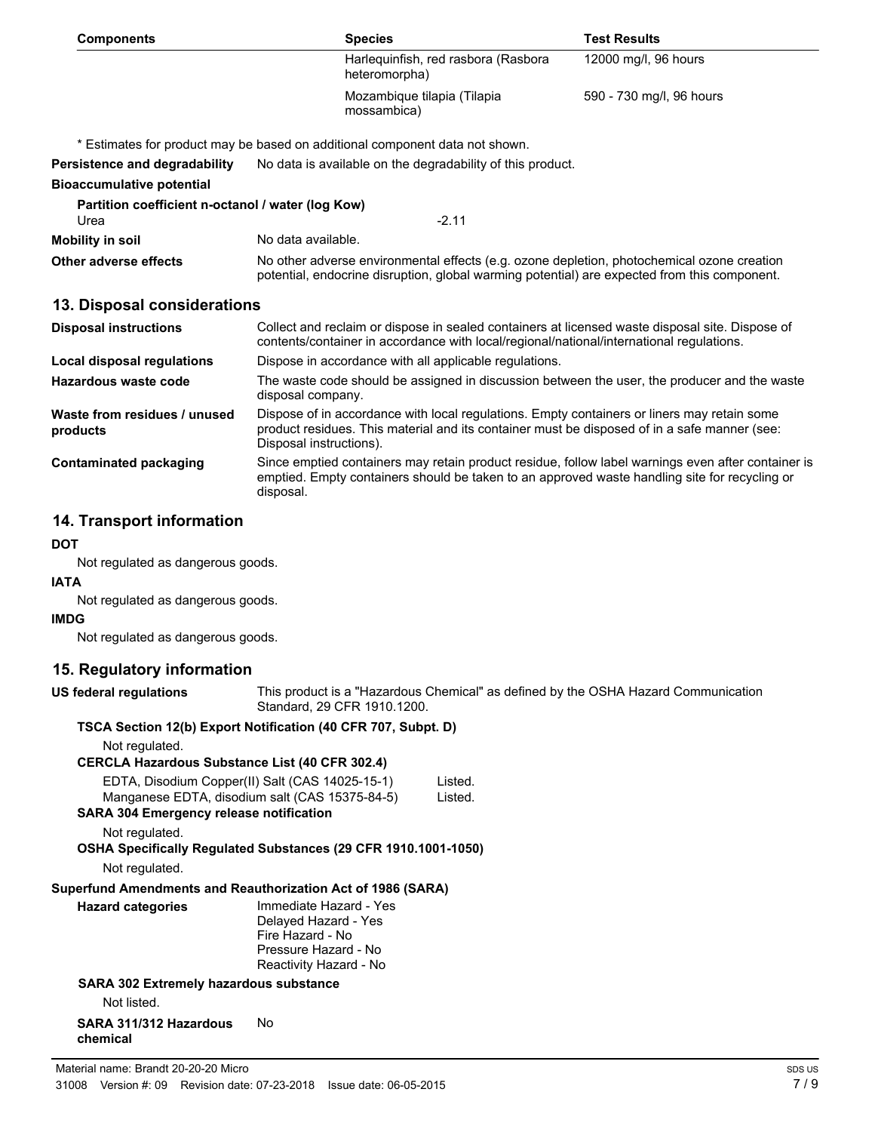| <b>Components</b>                                         | <b>Species</b>                                                                                                                                                                                                         |                                                        | <b>Test Results</b>      |  |  |  |
|-----------------------------------------------------------|------------------------------------------------------------------------------------------------------------------------------------------------------------------------------------------------------------------------|--------------------------------------------------------|--------------------------|--|--|--|
|                                                           | heteromorpha)                                                                                                                                                                                                          | Harlequinfish, red rasbora (Rasbora                    | 12000 mg/l, 96 hours     |  |  |  |
|                                                           | mossambica)                                                                                                                                                                                                            | Mozambique tilapia (Tilapia                            | 590 - 730 mg/l, 96 hours |  |  |  |
|                                                           | * Estimates for product may be based on additional component data not shown.                                                                                                                                           |                                                        |                          |  |  |  |
| Persistence and degradability                             | No data is available on the degradability of this product.                                                                                                                                                             |                                                        |                          |  |  |  |
| <b>Bioaccumulative potential</b>                          |                                                                                                                                                                                                                        |                                                        |                          |  |  |  |
| Partition coefficient n-octanol / water (log Kow)<br>Urea |                                                                                                                                                                                                                        | $-2.11$                                                |                          |  |  |  |
| <b>Mobility in soil</b>                                   | No data available.                                                                                                                                                                                                     |                                                        |                          |  |  |  |
| Other adverse effects                                     | No other adverse environmental effects (e.g. ozone depletion, photochemical ozone creation<br>potential, endocrine disruption, global warming potential) are expected from this component.                             |                                                        |                          |  |  |  |
| 13. Disposal considerations                               |                                                                                                                                                                                                                        |                                                        |                          |  |  |  |
| <b>Disposal instructions</b>                              | Collect and reclaim or dispose in sealed containers at licensed waste disposal site. Dispose of<br>contents/container in accordance with local/regional/national/international regulations.                            |                                                        |                          |  |  |  |
| <b>Local disposal regulations</b>                         |                                                                                                                                                                                                                        | Dispose in accordance with all applicable regulations. |                          |  |  |  |
| Hazardous waste code                                      | The waste code should be assigned in discussion between the user, the producer and the waste<br>disposal company.                                                                                                      |                                                        |                          |  |  |  |
| Waste from residues / unused<br>products                  | Dispose of in accordance with local regulations. Empty containers or liners may retain some<br>product residues. This material and its container must be disposed of in a safe manner (see:<br>Disposal instructions). |                                                        |                          |  |  |  |
| <b>Contaminated packaging</b>                             | Since emptied containers may retain product residue, follow label warnings even after container is<br>emptied. Empty containers should be taken to an approved waste handling site for recycling or<br>disposal.       |                                                        |                          |  |  |  |
| 14. Transport information                                 |                                                                                                                                                                                                                        |                                                        |                          |  |  |  |
| <b>DOT</b>                                                |                                                                                                                                                                                                                        |                                                        |                          |  |  |  |
| Not regulated as dangerous goods.                         |                                                                                                                                                                                                                        |                                                        |                          |  |  |  |
| <b>IATA</b>                                               |                                                                                                                                                                                                                        |                                                        |                          |  |  |  |
| Not regulated as dangerous goods.                         |                                                                                                                                                                                                                        |                                                        |                          |  |  |  |
| <b>IMDG</b>                                               |                                                                                                                                                                                                                        |                                                        |                          |  |  |  |
| Not regulated as dangerous goods.                         |                                                                                                                                                                                                                        |                                                        |                          |  |  |  |
| 15. Regulatory information                                |                                                                                                                                                                                                                        |                                                        |                          |  |  |  |
| <b>US federal regulations</b>                             | This product is a "Hazardous Chemical" as defined by the OSHA Hazard Communication<br>Standard, 29 CFR 1910.1200.                                                                                                      |                                                        |                          |  |  |  |
|                                                           | TSCA Section 12(b) Export Notification (40 CFR 707, Subpt. D)                                                                                                                                                          |                                                        |                          |  |  |  |
| Not regulated.                                            |                                                                                                                                                                                                                        |                                                        |                          |  |  |  |
| <b>CERCLA Hazardous Substance List (40 CFR 302.4)</b>     |                                                                                                                                                                                                                        |                                                        |                          |  |  |  |
|                                                           | EDTA, Disodium Copper(II) Salt (CAS 14025-15-1)<br>Manganese EDTA, disodium salt (CAS 15375-84-5)                                                                                                                      | Listed.<br>Listed.                                     |                          |  |  |  |
| <b>SARA 304 Emergency release notification</b>            |                                                                                                                                                                                                                        |                                                        |                          |  |  |  |
| Not regulated.                                            |                                                                                                                                                                                                                        |                                                        |                          |  |  |  |
|                                                           | OSHA Specifically Regulated Substances (29 CFR 1910.1001-1050)                                                                                                                                                         |                                                        |                          |  |  |  |

Not regulated.

### **Superfund Amendments and Reauthorization Act of 1986 (SARA)**

| <b>Hazard categories</b>               | Immediate Hazard - Yes<br>Delayed Hazard - Yes |
|----------------------------------------|------------------------------------------------|
|                                        | Fire Hazard - No                               |
|                                        | Pressure Hazard - No                           |
|                                        | Reactivity Hazard - No                         |
| SARA 302 Extremely hazardous substance |                                                |

**SARA 302 Extremely hazardous substance**

Not listed.

#### **SARA 311/312 Hazardous** No **chemical**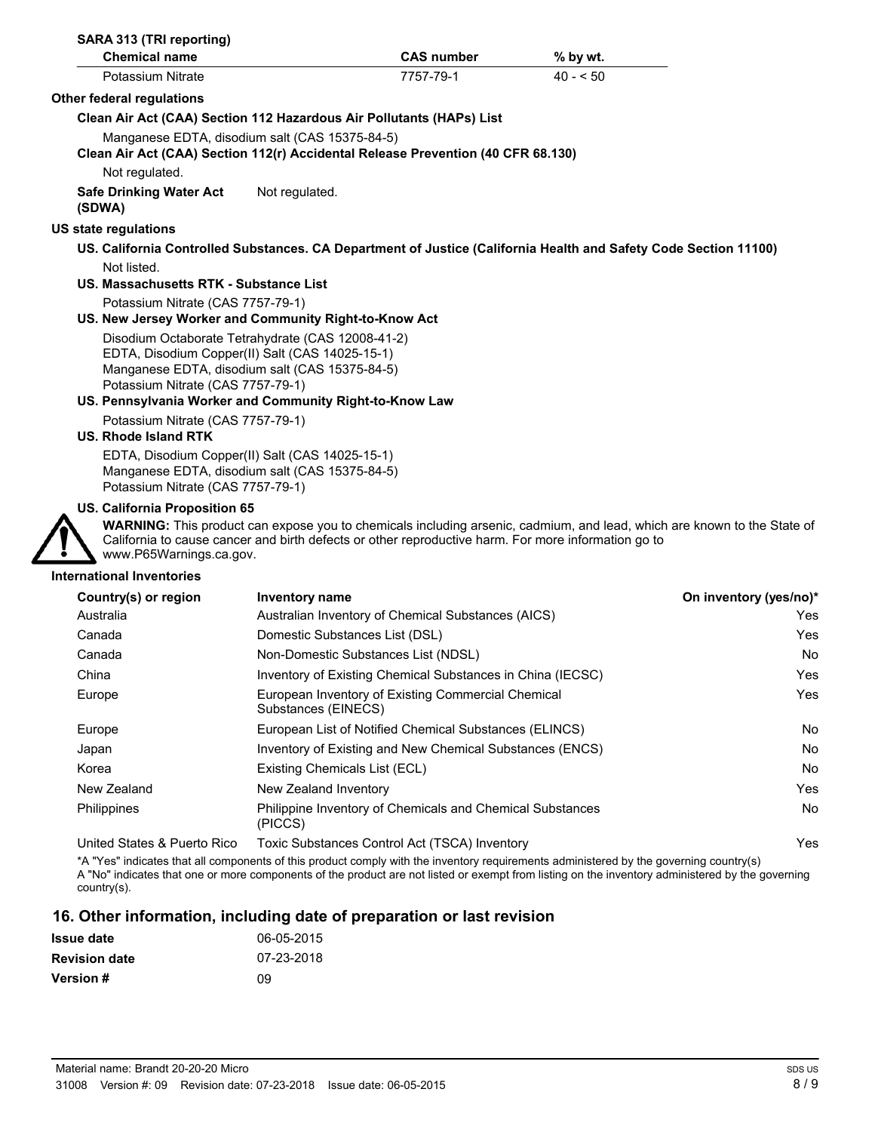| SARA 313 (TRI reporting)<br><b>Chemical name</b>           |                                                                                                                                                        | <b>CAS number</b> | % by wt.                                                                                                                |     |
|------------------------------------------------------------|--------------------------------------------------------------------------------------------------------------------------------------------------------|-------------------|-------------------------------------------------------------------------------------------------------------------------|-----|
| Potassium Nitrate                                          |                                                                                                                                                        | 7757-79-1         | $40 - 50$                                                                                                               |     |
| Other federal regulations                                  |                                                                                                                                                        |                   |                                                                                                                         |     |
|                                                            | Clean Air Act (CAA) Section 112 Hazardous Air Pollutants (HAPs) List                                                                                   |                   |                                                                                                                         |     |
|                                                            | Manganese EDTA, disodium salt (CAS 15375-84-5)<br>Clean Air Act (CAA) Section 112(r) Accidental Release Prevention (40 CFR 68.130)                     |                   |                                                                                                                         |     |
| Not regulated.<br><b>Safe Drinking Water Act</b><br>(SDWA) | Not regulated.                                                                                                                                         |                   |                                                                                                                         |     |
| US state regulations                                       |                                                                                                                                                        |                   |                                                                                                                         |     |
|                                                            |                                                                                                                                                        |                   | US. California Controlled Substances. CA Department of Justice (California Health and Safety Code Section 11100)        |     |
| Not listed.                                                |                                                                                                                                                        |                   |                                                                                                                         |     |
| US. Massachusetts RTK - Substance List                     |                                                                                                                                                        |                   |                                                                                                                         |     |
| Potassium Nitrate (CAS 7757-79-1)                          |                                                                                                                                                        |                   |                                                                                                                         |     |
|                                                            | US. New Jersey Worker and Community Right-to-Know Act                                                                                                  |                   |                                                                                                                         |     |
|                                                            | Disodium Octaborate Tetrahydrate (CAS 12008-41-2)<br>EDTA, Disodium Copper(II) Salt (CAS 14025-15-1)<br>Manganese EDTA, disodium salt (CAS 15375-84-5) |                   |                                                                                                                         |     |
| Potassium Nitrate (CAS 7757-79-1)                          | US. Pennsylvania Worker and Community Right-to-Know Law                                                                                                |                   |                                                                                                                         |     |
| Potassium Nitrate (CAS 7757-79-1)                          |                                                                                                                                                        |                   |                                                                                                                         |     |
| US. Rhode Island RTK                                       |                                                                                                                                                        |                   |                                                                                                                         |     |
| Potassium Nitrate (CAS 7757-79-1)                          | EDTA, Disodium Copper(II) Salt (CAS 14025-15-1)<br>Manganese EDTA, disodium salt (CAS 15375-84-5)                                                      |                   |                                                                                                                         |     |
| <b>US. California Proposition 65</b>                       |                                                                                                                                                        |                   |                                                                                                                         |     |
| www.P65Warnings.ca.gov.                                    | California to cause cancer and birth defects or other reproductive harm. For more information go to                                                    |                   | WARNING: This product can expose you to chemicals including arsenic, cadmium, and lead, which are known to the State of |     |
| <b>International Inventories</b>                           |                                                                                                                                                        |                   |                                                                                                                         |     |
| Country(s) or region                                       | Inventory name                                                                                                                                         |                   | On inventory (yes/no)*                                                                                                  |     |
| Australia                                                  | Australian Inventory of Chemical Substances (AICS)                                                                                                     |                   |                                                                                                                         | Yes |
| Canada                                                     | Domestic Substances List (DSL)                                                                                                                         |                   |                                                                                                                         | Yes |
| Canada                                                     | Non-Domestic Substances List (NDSL)                                                                                                                    |                   |                                                                                                                         | No  |
| China                                                      | Inventory of Existing Chemical Substances in China (IECSC)                                                                                             |                   |                                                                                                                         | Yes |
| Europe                                                     | European Inventory of Existing Commercial Chemical<br>Substances (EINECS)                                                                              |                   |                                                                                                                         | Yes |
| Europe                                                     | European List of Notified Chemical Substances (ELINCS)                                                                                                 |                   |                                                                                                                         | No  |
| Japan                                                      | Inventory of Existing and New Chemical Substances (ENCS)                                                                                               |                   |                                                                                                                         | No  |
| Korea                                                      | Existing Chemicals List (ECL)                                                                                                                          |                   |                                                                                                                         | No  |
| New Zealand                                                | New Zealand Inventory                                                                                                                                  |                   |                                                                                                                         | Yes |
| Philippines                                                | Philippine Inventory of Chemicals and Chemical Substances<br>(PICCS)                                                                                   |                   |                                                                                                                         | No  |
| United States & Puerto Rico                                | Toxic Substances Control Act (TSCA) Inventory                                                                                                          |                   |                                                                                                                         | Yes |

\*A "Yes" indicates that all components of this product comply with the inventory requirements administered by the governing country(s) A "No" indicates that one or more components of the product are not listed or exempt from listing on the inventory administered by the governing country(s).

# **16. Other information, including date of preparation or last revision**

| <b>Issue date</b>    | 06-05-2015 |
|----------------------|------------|
| <b>Revision date</b> | 07-23-2018 |
| <b>Version #</b>     | 09         |